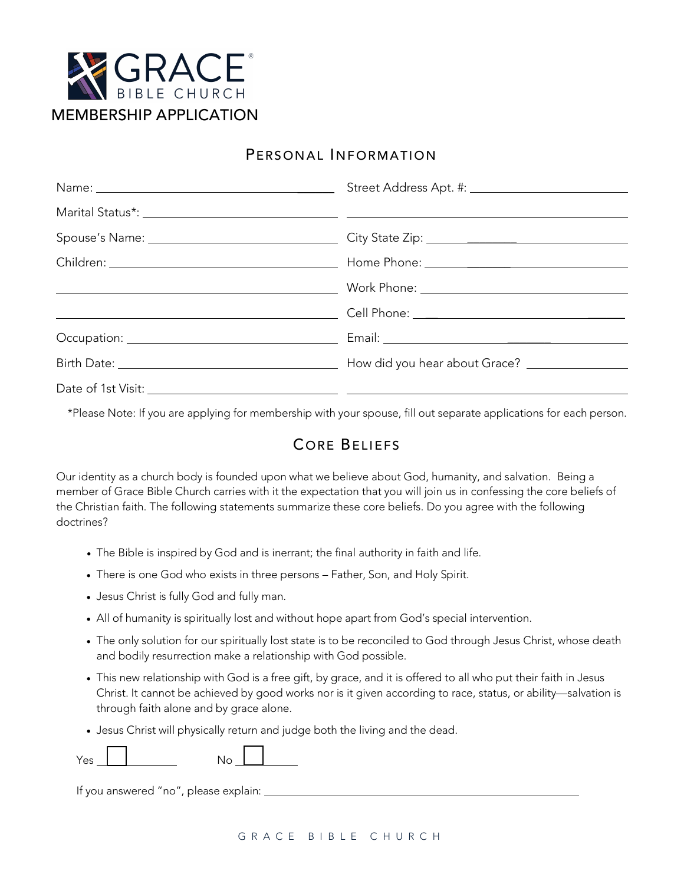

## PERSONAL INFORMATION

\*Please Note: If you are applying for membership with your spouse, fill out separate applications for each person.

## CORE BELIEFS

Our identity as a church body is founded upon what we believe about God, humanity, and salvation. Being a member of Grace Bible Church carries with it the expectation that you will join us in confessing the core beliefs of the Christian faith. The following statements summarize these core beliefs. Do you agree with the following doctrines?

- The Bible is inspired by God and is inerrant; the final authority in faith and life.
- There is one God who exists in three persons Father, Son, and Holy Spirit.
- Jesus Christ is fully God and fully man.
- All of humanity is spiritually lost and without hope apart from God's special intervention.
- The only solution for our spiritually lost state is to be reconciled to God through Jesus Christ, whose death and bodily resurrection make a relationship with God possible.
- This new relationship with God is a free gift, by grace, and it is offered to all who put their faith in Jesus Christ. It cannot be achieved by good works nor is it given according to race, status, or ability—salvation is through faith alone and by grace alone.
- Jesus Christ will physically return and judge both the living and the dead.

If you answered "no", please explain: